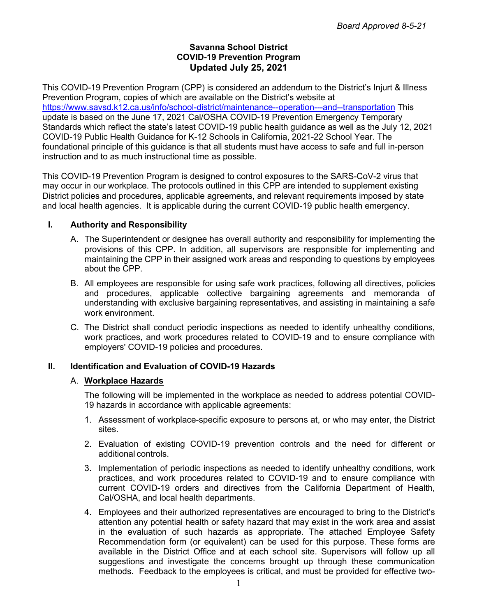## **Savanna School District COVID-19 Prevention Program Updated July 25, 2021**

This COVID-19 Prevention Program (CPP) is considered an addendum to the District's Injurt & Illness Prevention Program, copies of which are available on the District's website at https://www.savsd.k12.ca.us/info/school-district/maintenance--operation---and--transportation This update is based on the June 17, 2021 Cal/OSHA COVID-19 Prevention Emergency Temporary Standards which reflect the state's latest COVID-19 public health guidance as well as the July 12, 2021 COVID-19 Public Health Guidance for K-12 Schools in California, 2021-22 School Year. The foundational principle of this guidance is that all students must have access to safe and full in-person instruction and to as much instructional time as possible.

This COVID-19 Prevention Program is designed to control exposures to the SARS-CoV-2 virus that may occur in our workplace. The protocols outlined in this CPP are intended to supplement existing District policies and procedures, applicable agreements, and relevant requirements imposed by state and local health agencies. It is applicable during the current COVID-19 public health emergency.

### **I. Authority and Responsibility**

- A. The Superintendent or designee has overall authority and responsibility for implementing the provisions of this CPP. In addition, all supervisors are responsible for implementing and maintaining the CPP in their assigned work areas and responding to questions by employees about the CPP.
- B. All employees are responsible for using safe work practices, following all directives, policies and procedures, applicable collective bargaining agreements and memoranda of understanding with exclusive bargaining representatives, and assisting in maintaining a safe work environment.
- C. The District shall conduct periodic inspections as needed to identify unhealthy conditions, work practices, and work procedures related to COVID-19 and to ensure compliance with employers' COVID-19 policies and procedures.

## **II. Identification and Evaluation of COVID-19 Hazards**

### A. **Workplace Hazards**

The following will be implemented in the workplace as needed to address potential COVID-19 hazards in accordance with applicable agreements:

- 1. Assessment of workplace-specific exposure to persons at, or who may enter, the District sites.
- 2. Evaluation of existing COVID-19 prevention controls and the need for different or additional controls.
- 3. Implementation of periodic inspections as needed to identify unhealthy conditions, work practices, and work procedures related to COVID-19 and to ensure compliance with current COVID-19 orders and directives from the California Department of Health, Cal/OSHA, and local health departments.
- 4. Employees and their authorized representatives are encouraged to bring to the District's attention any potential health or safety hazard that may exist in the work area and assist in the evaluation of such hazards as appropriate. The attached Employee Safety Recommendation form (or equivalent) can be used for this purpose. These forms are available in the District Office and at each school site. Supervisors will follow up all suggestions and investigate the concerns brought up through these communication methods. Feedback to the employees is critical, and must be provided for effective two-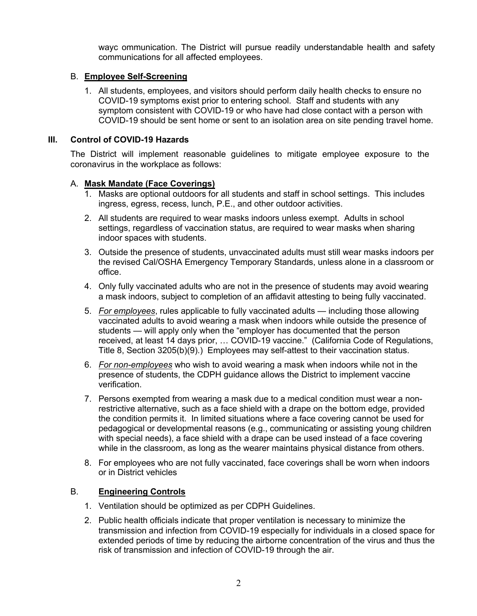wayc ommunication. The District will pursue readily understandable health and safety communications for all affected employees.

## B. **Employee Self-Screening**

1. All students, employees, and visitors should perform daily health checks to ensure no COVID-19 symptoms exist prior to entering school. Staff and students with any symptom consistent with COVID-19 or who have had close contact with a person with COVID-19 should be sent home or sent to an isolation area on site pending travel home.

## **III. Control of COVID-19 Hazards**

The District will implement reasonable guidelines to mitigate employee exposure to the coronavirus in the workplace as follows:

## A. **Mask Mandate (Face Coverings)**

- 1. Masks are optional outdoors for all students and staff in school settings. This includes ingress, egress, recess, lunch, P.E., and other outdoor activities.
- 2. All students are required to wear masks indoors unless exempt. Adults in school settings, regardless of vaccination status, are required to wear masks when sharing indoor spaces with students.
- 3. Outside the presence of students, unvaccinated adults must still wear masks indoors per the revised Cal/OSHA Emergency Temporary Standards, unless alone in a classroom or office.
- 4. Only fully vaccinated adults who are not in the presence of students may avoid wearing a mask indoors, subject to completion of an affidavit attesting to being fully vaccinated.
- 5. *For employees*, rules applicable to fully vaccinated adults including those allowing vaccinated adults to avoid wearing a mask when indoors while outside the presence of students — will apply only when the "employer has documented that the person received, at least 14 days prior, … COVID-19 vaccine." (California Code of Regulations, Title 8, Section 3205(b)(9).) Employees may self-attest to their vaccination status.
- 6. *For non-employees* who wish to avoid wearing a mask when indoors while not in the presence of students, the CDPH guidance allows the District to implement vaccine verification.
- 7. Persons exempted from wearing a mask due to a medical condition must wear a nonrestrictive alternative, such as a face shield with a drape on the bottom edge, provided the condition permits it. In limited situations where a face covering cannot be used for pedagogical or developmental reasons (e.g., communicating or assisting young children with special needs), a face shield with a drape can be used instead of a face covering while in the classroom, as long as the wearer maintains physical distance from others.
- 8. For employees who are not fully vaccinated, face coverings shall be worn when indoors or in District vehicles

### B. **Engineering Controls**

- 1. Ventilation should be optimized as per CDPH Guidelines.
- 2. Public health officials indicate that proper ventilation is necessary to minimize the transmission and infection from COVID-19 especially for individuals in a closed space for extended periods of time by reducing the airborne concentration of the virus and thus the risk of transmission and infection of COVID-19 through the air.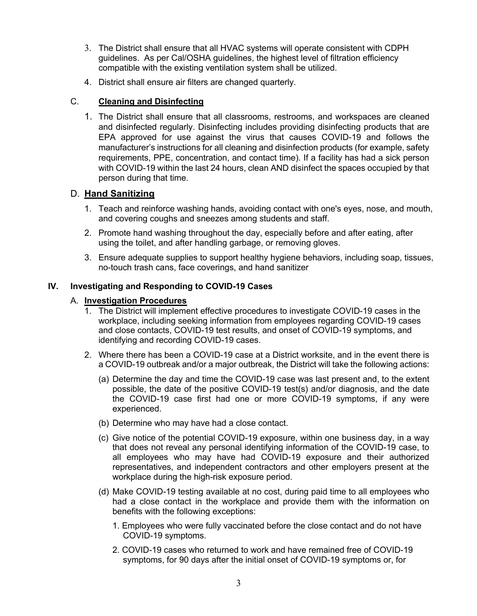- 3. The District shall ensure that all HVAC systems will operate consistent with CDPH guidelines. As per Cal/OSHA guidelines, the highest level of filtration efficiency compatible with the existing ventilation system shall be utilized.
- 4. District shall ensure air filters are changed quarterly.

## C. **Cleaning and Disinfecting**

1. The District shall ensure that all classrooms, restrooms, and workspaces are cleaned and disinfected regularly. Disinfecting includes providing disinfecting products that are EPA approved for use against the virus that causes COVID-19 and follows the manufacturer's instructions for all cleaning and disinfection products (for example, safety requirements, PPE, concentration, and contact time). If a facility has had a sick person with COVID-19 within the last 24 hours, clean AND disinfect the spaces occupied by that person during that time.

## D. **Hand Sanitizing**

- 1. Teach and reinforce washing hands, avoiding contact with one's eyes, nose, and mouth, and covering coughs and sneezes among students and staff.
- 2. Promote hand washing throughout the day, especially before and after eating, after using the toilet, and after handling garbage, or removing gloves.
- 3. Ensure adequate supplies to support healthy hygiene behaviors, including soap, tissues, no-touch trash cans, face coverings, and hand sanitizer

## **IV. Investigating and Responding to COVID-19 Cases**

## A. **Investigation Procedures**

- 1. The District will implement effective procedures to investigate COVID-19 cases in the workplace, including seeking information from employees regarding COVID-19 cases and close contacts, COVID-19 test results, and onset of COVID-19 symptoms, and identifying and recording COVID-19 cases.
- 2. Where there has been a COVID-19 case at a District worksite, and in the event there is a COVID-19 outbreak and/or a major outbreak, the District will take the following actions:
	- (a) Determine the day and time the COVID-19 case was last present and, to the extent possible, the date of the positive COVID-19 test(s) and/or diagnosis, and the date the COVID-19 case first had one or more COVID-19 symptoms, if any were experienced.
	- (b) Determine who may have had a close contact.
	- (c) Give notice of the potential COVID-19 exposure, within one business day, in a way that does not reveal any personal identifying information of the COVID-19 case, to all employees who may have had COVID-19 exposure and their authorized representatives, and independent contractors and other employers present at the workplace during the high-risk exposure period.
	- (d) Make COVID-19 testing available at no cost, during paid time to all employees who had a close contact in the workplace and provide them with the information on benefits with the following exceptions:
		- 1. Employees who were fully vaccinated before the close contact and do not have COVID-19 symptoms.
		- 2. COVID-19 cases who returned to work and have remained free of COVID-19 symptoms, for 90 days after the initial onset of COVID-19 symptoms or, for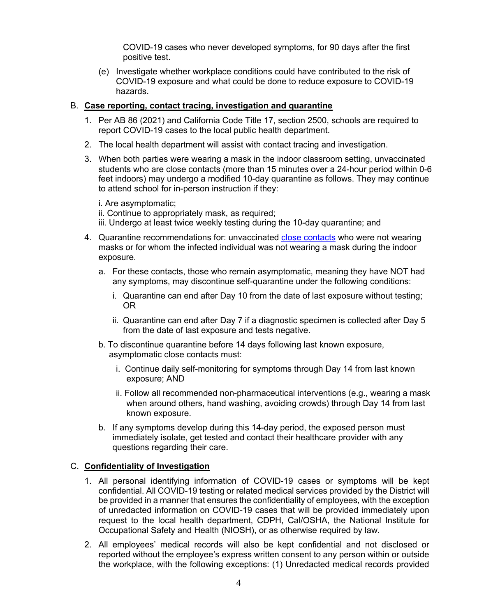COVID-19 cases who never developed symptoms, for 90 days after the first positive test.

(e) Investigate whether workplace conditions could have contributed to the risk of COVID-19 exposure and what could be done to reduce exposure to COVID-19 hazards.

### B. **Case reporting, contact tracing, investigation and quarantine**

- 1. Per AB 86 (2021) and California Code Title 17, section 2500, schools are required to report COVID-19 cases to the local public health department.
- 2. The local health department will assist with contact tracing and investigation.
- 3. When both parties were wearing a mask in the indoor classroom setting, unvaccinated students who are close contacts (more than 15 minutes over a 24-hour period within 0-6 feet indoors) may undergo a modified 10-day quarantine as follows. They may continue to attend school for in-person instruction if they:

i. Are asymptomatic;

ii. Continue to appropriately mask, as required;

- iii. Undergo at least twice weekly testing during the 10-day quarantine; and
- 4. Quarantine recommendations for: unvaccinated close contacts who were not wearing masks or for whom the infected individual was not wearing a mask during the indoor exposure.
	- a. For these contacts, those who remain asymptomatic, meaning they have NOT had any symptoms, may discontinue self-quarantine under the following conditions:
		- i. Quarantine can end after Day 10 from the date of last exposure without testing; OR
		- ii. Quarantine can end after Day 7 if a diagnostic specimen is collected after Day 5 from the date of last exposure and tests negative.
	- b. To discontinue quarantine before 14 days following last known exposure, asymptomatic close contacts must:
		- i. Continue daily self-monitoring for symptoms through Day 14 from last known exposure; AND
		- ii. Follow all recommended non-pharmaceutical interventions (e.g., wearing a mask when around others, hand washing, avoiding crowds) through Day 14 from last known exposure.
	- b. If any symptoms develop during this 14-day period, the exposed person must immediately isolate, get tested and contact their healthcare provider with any questions regarding their care.

### C. **Confidentiality of Investigation**

- 1. All personal identifying information of COVID-19 cases or symptoms will be kept confidential. All COVID-19 testing or related medical services provided by the District will be provided in a manner that ensures the confidentiality of employees, with the exception of unredacted information on COVID-19 cases that will be provided immediately upon request to the local health department, CDPH, Cal/OSHA, the National Institute for Occupational Safety and Health (NIOSH), or as otherwise required by law.
- 2. All employees' medical records will also be kept confidential and not disclosed or reported without the employee's express written consent to any person within or outside the workplace, with the following exceptions: (1) Unredacted medical records provided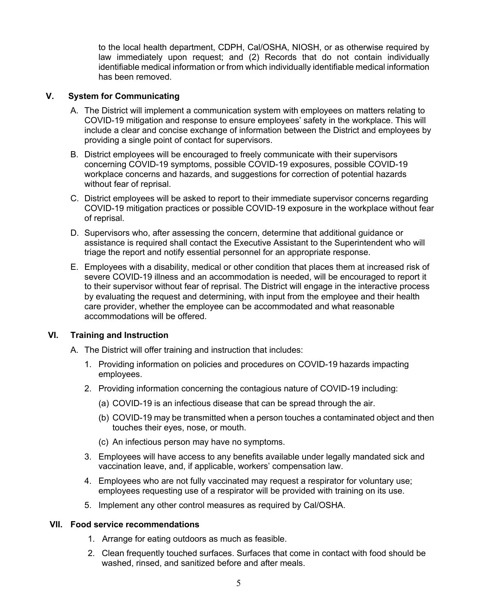to the local health department, CDPH, Cal/OSHA, NIOSH, or as otherwise required by law immediately upon request; and (2) Records that do not contain individually identifiable medical information or from which individually identifiable medical information has been removed.

## **V. System for Communicating**

- A. The District will implement a communication system with employees on matters relating to COVID-19 mitigation and response to ensure employees' safety in the workplace. This will include a clear and concise exchange of information between the District and employees by providing a single point of contact for supervisors.
- B. District employees will be encouraged to freely communicate with their supervisors concerning COVID-19 symptoms, possible COVID-19 exposures, possible COVID-19 workplace concerns and hazards, and suggestions for correction of potential hazards without fear of reprisal.
- C. District employees will be asked to report to their immediate supervisor concerns regarding COVID-19 mitigation practices or possible COVID-19 exposure in the workplace without fear of reprisal.
- D. Supervisors who, after assessing the concern, determine that additional guidance or assistance is required shall contact the Executive Assistant to the Superintendent who will triage the report and notify essential personnel for an appropriate response.
- E. Employees with a disability, medical or other condition that places them at increased risk of severe COVID-19 illness and an accommodation is needed, will be encouraged to report it to their supervisor without fear of reprisal. The District will engage in the interactive process by evaluating the request and determining, with input from the employee and their health care provider, whether the employee can be accommodated and what reasonable accommodations will be offered.

### **VI. Training and Instruction**

A. The District will offer training and instruction that includes:

- 1. Providing information on policies and procedures on COVID-19 hazards impacting employees.
- 2. Providing information concerning the contagious nature of COVID-19 including:
	- (a) COVID-19 is an infectious disease that can be spread through the air.
	- (b) COVID-19 may be transmitted when a person touches a contaminated object and then touches their eyes, nose, or mouth.
	- (c) An infectious person may have no symptoms.
- 3. Employees will have access to any benefits available under legally mandated sick and vaccination leave, and, if applicable, workers' compensation law.
- 4. Employees who are not fully vaccinated may request a respirator for voluntary use; employees requesting use of a respirator will be provided with training on its use.
- 5. Implement any other control measures as required by Cal/OSHA.

### **VII. Food service recommendations**

- 1. Arrange for eating outdoors as much as feasible.
- 2. Clean frequently touched surfaces. Surfaces that come in contact with food should be washed, rinsed, and sanitized before and after meals.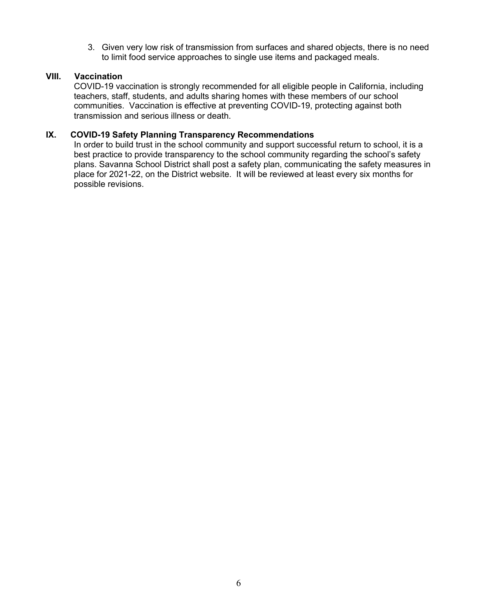3. Given very low risk of transmission from surfaces and shared objects, there is no need to limit food service approaches to single use items and packaged meals.

### **VIII. Vaccination**

COVID-19 vaccination is strongly recommended for all eligible people in California, including teachers, staff, students, and adults sharing homes with these members of our school communities. Vaccination is effective at preventing COVID-19, protecting against both transmission and serious illness or death.

### **IX. COVID-19 Safety Planning Transparency Recommendations**

In order to build trust in the school community and support successful return to school, it is a best practice to provide transparency to the school community regarding the school's safety plans. Savanna School District shall post a safety plan, communicating the safety measures in place for 2021-22, on the District website. It will be reviewed at least every six months for possible revisions.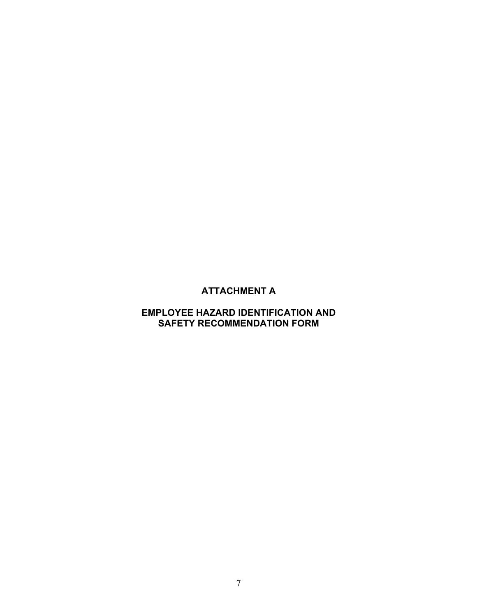# **ATTACHMENT A**

# **EMPLOYEE HAZARD IDENTIFICATION AND SAFETY RECOMMENDATION FORM**